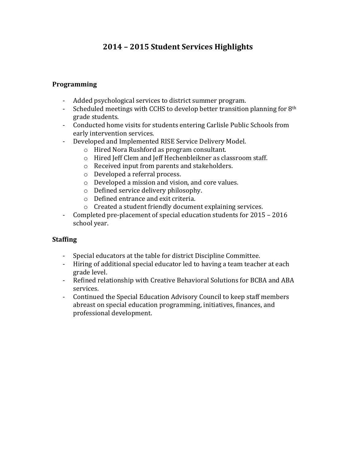# **2014 – 2015 Student Services Highlights**

#### **Programming**

- Added psychological services to district summer program.
- Scheduled meetings with CCHS to develop better transition planning for  $8<sup>th</sup>$ grade students.
- Conducted home visits for students entering Carlisle Public Schools from early intervention services.
- Developed and Implemented RISE Service Delivery Model.
	- $\circ$  Hired Nora Rushford as program consultant.
	- o Hired Jeff Clem and Jeff Hechenbleikner as classroom staff.
	- $\circ$  Received input from parents and stakeholders.
	- o Developed a referral process.
	- $\circ$  Developed a mission and vision, and core values.
	- $\circ$  Defined service delivery philosophy.
	- $\circ$  Defined entrance and exit criteria.
	- $\circ$  Created a student friendly document explaining services.
- Completed pre-placement of special education students for 2015 2016 school year.

## **Staffing**

- Special educators at the table for district Discipline Committee.
- Hiring of additional special educator led to having a team teacher at each grade level.
- Refined relationship with Creative Behavioral Solutions for BCBA and ABA services.
- Continued the Special Education Advisory Council to keep staff members abreast on special education programming, initiatives, finances, and professional development.